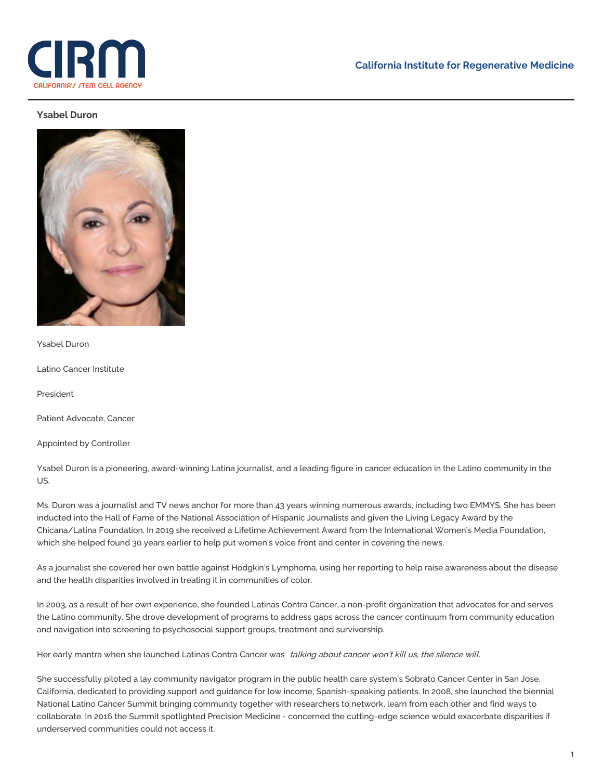

## **Ysabel Duron**



Ysabel Duron

Latino Cancer Institute

President

Patient Advocate, Cancer

Appointed by Controller

Ysabel Duron is a pioneering, award-winning Latina journalist, and a leading figure in cancer education in the Latino community in the US.

Ms. Duron was a journalist and TV news anchor for more than 43 years winning numerous awards, including two EMMYS. She has been inducted into the Hall of Fame of the National Association of Hispanic Journalists and given the Living Legacy Award by the Chicana/Latina Foundation. In 2019 she received a Lifetime Achievement Award from the International Women's Media Foundation, which she helped found 30 years earlier to help put women's voice front and center in covering the news.

As a journalist she covered her own battle against Hodgkin's Lymphoma, using her reporting to help raise awareness about the disease and the health disparities involved in treating it in communities of color.

In 2003, as a result of her own experience, she founded Latinas Contra Cancer, a non-profit organization that advocates for and serves the Latino community. She drove development of programs to address gaps across the cancer continuum from community education and navigation into screening to psychosocial support groups, treatment and survivorship.

Her early mantra when she launched Latinas Contra Cancer was talking about cancer won't kill us, the silence will.

She successfully piloted a lay community navigator program in the public health care system's Sobrato Cancer Center in San Jose, California, dedicated to providing support and guidance for low income, Spanish-speaking patients. In 2008, she launched the biennial National Latino Cancer Summit bringing community together with researchers to network, learn from each other and find ways to collaborate. In 2016 the Summit spotlighted Precision Medicine - concerned the cutting-edge science would exacerbate disparities if underserved communities could not access it.